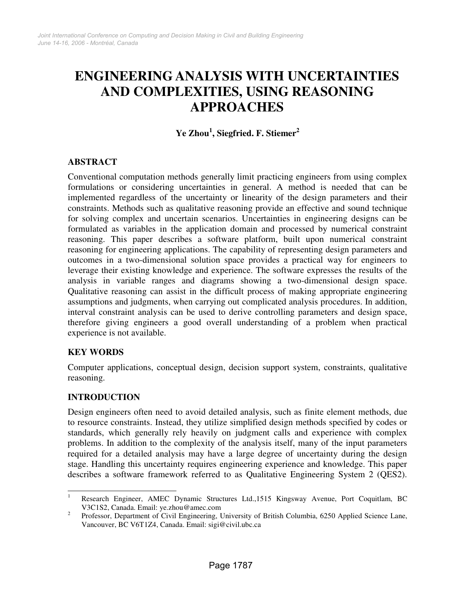# **ENGINEERING ANALYSIS WITH UNCERTAINTIES AND COMPLEXITIES, USING REASONING APPROACHES**

**Ye Zhou 1 , Siegfried. F. Stiemer 2**

# **ABSTRACT**

Conventional computation methods generally limit practicing engineers from using complex formulations or considering uncertainties in general. A method is needed that can be implemented regardless of the uncertainty or linearity of the design parameters and their constraints. Methods such as qualitative reasoning provide an effective and sound technique for solving complex and uncertain scenarios. Uncertainties in engineering designs can be formulated as variables in the application domain and processed by numerical constraint reasoning. This paper describes a software platform, built upon numerical constraint reasoning for engineering applications. The capability of representing design parameters and outcomes in a two-dimensional solution space provides a practical way for engineers to leverage their existing knowledge and experience. The software expresses the results of the analysis in variable ranges and diagrams showing a two-dimensional design space. Qualitative reasoning can assist in the difficult process of making appropriate engineering assumptions and judgments, when carrying out complicated analysis procedures. In addition, interval constraint analysis can be used to derive controlling parameters and design space, therefore giving engineers a good overall understanding of a problem when practical experience is not available.

# **KEY WORDS**

Computer applications, conceptual design, decision support system, constraints, qualitative reasoning.

# **INTRODUCTION**

Design engineers often need to avoid detailed analysis, such as finite element methods, due to resource constraints. Instead, they utilize simplified design methods specified by codes or standards, which generally rely heavily on judgment calls and experience with complex problems. In addition to the complexity of the analysis itself, many of the input parameters required for a detailed analysis may have a large degree of uncertainty during the design stage. Handling this uncertainty requires engineering experience and knowledge. This paper describes a software framework referred to as Qualitative Engineering System 2 (QES2).

<sup>&</sup>lt;sup>1</sup> Research Engineer, AMEC Dynamic Structures Ltd.,1515 Kingsway Avenue, Port Coquitlam, BC V3C1S2, Canada. Email: ye.zhou@amec.com

<sup>2</sup> Professor, Department of Civil Engineering, University of British Columbia, 6250 Applied Science Lane, Vancouver, BC V6T1Z4, Canada. Email: sigi@civil.ubc.ca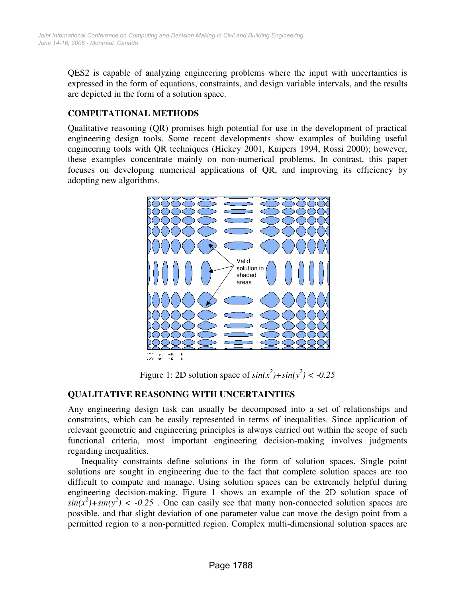QES2 is capable of analyzing engineering problems where the input with uncertainties is expressed in the form of equations, constraints, and design variable intervals, and the results are depicted in the form of a solution space.

# **COMPUTATIONAL METHODS**

Qualitative reasoning (QR) promises high potential for use in the development of practical engineering design tools. Some recent developments show examples of building useful engineering tools with QR techniques (Hickey 2001, Kuipers 1994, Rossi 2000); however, these examples concentrate mainly on non-numerical problems. In contrast, this paper focuses on developing numerical applications of QR, and improving its efficiency by adopting new algorithms.



Figure 1: 2D solution space of  $sin(x^2) + sin(y^2) < -0.25$ 

# **QUALITATIVE REASONING WITH UNCERTAINTIES**

Any engineering design task can usually be decomposed into a set of relationships and constraints, which can be easily represented in terms of inequalities. Since application of relevant geometric and engineering principles is always carried out within the scope of such functional criteria, most important engineering decision-making involves judgments regarding inequalities.

Inequality constraints define solutions in the form of solution spaces. Single point solutions are sought in engineering due to the fact that complete solution spaces are too difficult to compute and manage. Using solution spaces can be extremely helpful during engineering decision-making. Figure 1 shows an example of the 2D solution space of  $sin(x^2) + sin(y^2)$  < -0.25 . One can easily see that many non-connected solution spaces are possible, and that slight deviation of one parameter value can move the design point from a permitted region to a non-permitted region. Complex multi-dimensional solution spaces are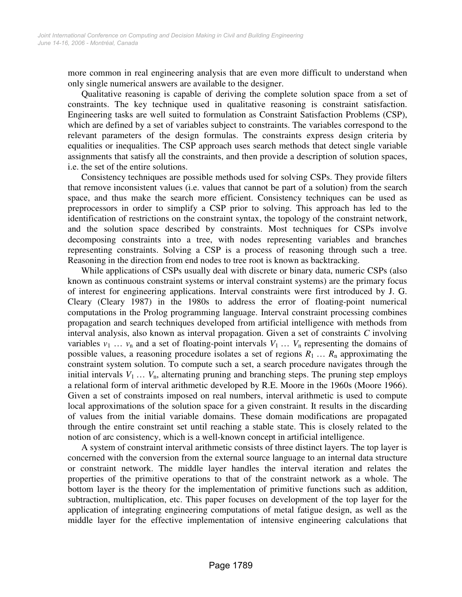more common in real engineering analysis that are even more difficult to understand when only single numerical answers are available to the designer.

Qualitative reasoning is capable of deriving the complete solution space from a set of constraints. The key technique used in qualitative reasoning is constraint satisfaction. Engineering tasks are well suited to formulation as Constraint Satisfaction Problems (CSP), which are defined by a set of variables subject to constraints. The variables correspond to the relevant parameters of the design formulas. The constraints express design criteria by equalities or inequalities. The CSP approach uses search methods that detect single variable assignments that satisfy all the constraints, and then provide a description of solution spaces, i.e. the set of the entire solutions.

Consistency techniques are possible methods used for solving CSPs. They provide filters that remove inconsistent values (i.e. values that cannot be part of a solution) from the search space, and thus make the search more efficient. Consistency techniques can be used as preprocessors in order to simplify a CSP prior to solving. This approach has led to the identification of restrictions on the constraint syntax, the topology of the constraint network, and the solution space described by constraints. Most techniques for CSPs involve decomposing constraints into a tree, with nodes representing variables and branches representing constraints. Solving a CSP is a process of reasoning through such a tree. Reasoning in the direction from end nodes to tree root is known as backtracking.

While applications of CSPs usually deal with discrete or binary data, numeric CSPs (also known as continuous constraint systems or interval constraint systems) are the primary focus of interest for engineering applications. Interval constraints were first introduced by J. G. Cleary (Cleary 1987) in the 1980s to address the error of floating-point numerical computations in the Prolog programming language. Interval constraint processing combines propagation and search techniques developed from artificial intelligence with methods from interval analysis, also known as interval propagation. Given a set of constraints *C* involving variables  $v_1$  ...  $v_n$  and a set of floating-point intervals  $V_1$  ...  $V_n$  representing the domains of possible values, a reasoning procedure isolates a set of regions  $R_1 \ldots R_n$  approximating the constraint system solution. To compute such a set, a search procedure navigates through the initial intervals  $V_1 \ldots V_n$ , alternating pruning and branching steps. The pruning step employs a relational form of interval arithmetic developed by R.E. Moore in the 1960s (Moore 1966). Given a set of constraints imposed on real numbers, interval arithmetic is used to compute local approximations of the solution space for a given constraint. It results in the discarding of values from the initial variable domains. These domain modifications are propagated through the entire constraint set until reaching a stable state. This is closely related to the notion of arc consistency, which is a well-known concept in artificial intelligence.

A system of constraint interval arithmetic consists of three distinct layers. The top layer is concerned with the conversion from the external source language to an internal data structure or constraint network. The middle layer handles the interval iteration and relates the properties of the primitive operations to that of the constraint network as a whole. The bottom layer is the theory for the implementation of primitive functions such as addition, subtraction, multiplication, etc. This paper focuses on development of the top layer for the application of integrating engineering computations of metal fatigue design, as well as the middle layer for the effective implementation of intensive engineering calculations that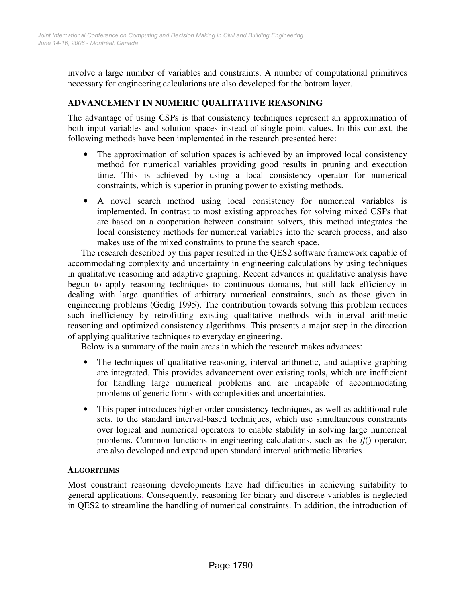involve a large number of variables and constraints. A number of computational primitives necessary for engineering calculations are also developed for the bottom layer.

# **ADVANCEMENT IN NUMERIC QUALITATIVE REASONING**

The advantage of using CSPs is that consistency techniques represent an approximation of both input variables and solution spaces instead of single point values. In this context, the following methods have been implemented in the research presented here:

- The approximation of solution spaces is achieved by an improved local consistency method for numerical variables providing good results in pruning and execution time. This is achieved by using a local consistency operator for numerical constraints, which is superior in pruning power to existing methods.
- A novel search method using local consistency for numerical variables is implemented. In contrast to most existing approaches for solving mixed CSPs that are based on a cooperation between constraint solvers, this method integrates the local consistency methods for numerical variables into the search process, and also makes use of the mixed constraints to prune the search space.

The research described by this paper resulted in the QES2 software framework capable of accommodating complexity and uncertainty in engineering calculations by using techniques in qualitative reasoning and adaptive graphing. Recent advances in qualitative analysis have begun to apply reasoning techniques to continuous domains, but still lack efficiency in dealing with large quantities of arbitrary numerical constraints, such as those given in engineering problems (Gedig 1995). The contribution towards solving this problem reduces such inefficiency by retrofitting existing qualitative methods with interval arithmetic reasoning and optimized consistency algorithms. This presents a major step in the direction of applying qualitative techniques to everyday engineering.

Below is a summary of the main areas in which the research makes advances:

- The techniques of qualitative reasoning, interval arithmetic, and adaptive graphing are integrated. This provides advancement over existing tools, which are inefficient for handling large numerical problems and are incapable of accommodating problems of generic forms with complexities and uncertainties.
- This paper introduces higher order consistency techniques, as well as additional rule sets, to the standard interval-based techniques, which use simultaneous constraints over logical and numerical operators to enable stability in solving large numerical problems. Common functions in engineering calculations, such as the *if*() operator, are also developed and expand upon standard interval arithmetic libraries.

# **ALGORITHMS**

Most constraint reasoning developments have had difficulties in achieving suitability to general applications. Consequently, reasoning for binary and discrete variables is neglected in QES2 to streamline the handling of numerical constraints. In addition, the introduction of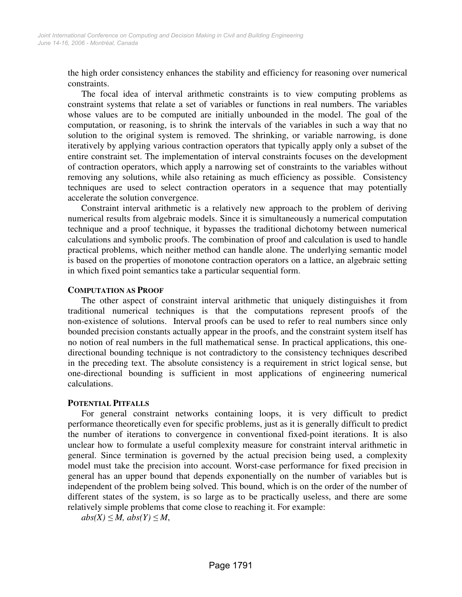the high order consistency enhances the stability and efficiency for reasoning over numerical constraints.

The focal idea of interval arithmetic constraints is to view computing problems as constraint systems that relate a set of variables or functions in real numbers. The variables whose values are to be computed are initially unbounded in the model. The goal of the computation, or reasoning, is to shrink the intervals of the variables in such a way that no solution to the original system is removed. The shrinking, or variable narrowing, is done iteratively by applying various contraction operators that typically apply only a subset of the entire constraint set. The implementation of interval constraints focuses on the development of contraction operators, which apply a narrowing set of constraints to the variables without removing any solutions, while also retaining as much efficiency as possible. Consistency techniques are used to select contraction operators in a sequence that may potentially accelerate the solution convergence.

Constraint interval arithmetic is a relatively new approach to the problem of deriving numerical results from algebraic models. Since it is simultaneously a numerical computation technique and a proof technique, it bypasses the traditional dichotomy between numerical calculations and symbolic proofs. The combination of proof and calculation is used to handle practical problems, which neither method can handle alone. The underlying semantic model is based on the properties of monotone contraction operators on a lattice, an algebraic setting in which fixed point semantics take a particular sequential form.

#### **COMPUTATION AS PROOF**

The other aspect of constraint interval arithmetic that uniquely distinguishes it from traditional numerical techniques is that the computations represent proofs of the non-existence of solutions. Interval proofs can be used to refer to real numbers since only bounded precision constants actually appear in the proofs, and the constraint system itself has no notion of real numbers in the full mathematical sense. In practical applications, this onedirectional bounding technique is not contradictory to the consistency techniques described in the preceding text. The absolute consistency is a requirement in strict logical sense, but one-directional bounding is sufficient in most applications of engineering numerical calculations.

#### **POTENTIAL PITFALLS**

For general constraint networks containing loops, it is very difficult to predict performance theoretically even for specific problems, just as it is generally difficult to predict the number of iterations to convergence in conventional fixed-point iterations. It is also unclear how to formulate a useful complexity measure for constraint interval arithmetic in general. Since termination is governed by the actual precision being used, a complexity model must take the precision into account. Worst-case performance for fixed precision in general has an upper bound that depends exponentially on the number of variables but is independent of the problem being solved. This bound, which is on the order of the number of different states of the system, is so large as to be practically useless, and there are some relatively simple problems that come close to reaching it. For example:

 $abs(X) \leq M$ ,  $abs(Y) \leq M$ ,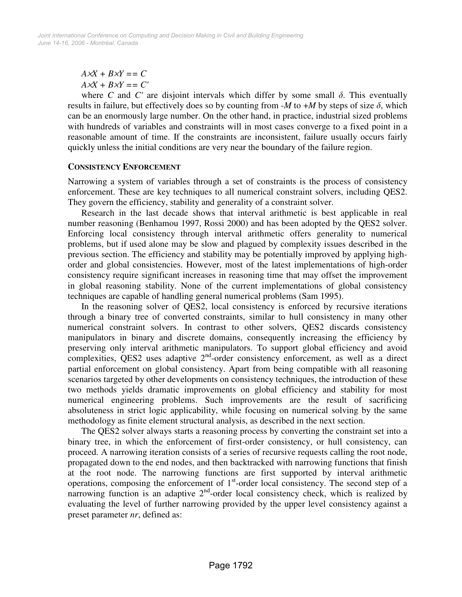$A \times X + B \times Y = C$  $A \times X + B \times Y = C'$ 

where  $C$  and  $C'$  are disjoint intervals which differ by some small  $\delta$ . This eventually results in failure, but effectively does so by counting from  $-M$  to  $+M$  by steps of size  $\delta$ , which can be an enormously large number. On the other hand, in practice, industrial sized problems with hundreds of variables and constraints will in most cases converge to a fixed point in a reasonable amount of time. If the constraints are inconsistent, failure usually occurs fairly quickly unless the initial conditions are very near the boundary of the failure region.

#### **CONSISTENCY ENFORCEMENT**

Narrowing a system of variables through a set of constraints is the process of consistency enforcement. These are key techniques to all numerical constraint solvers, including QES2. They govern the efficiency, stability and generality of a constraint solver.

Research in the last decade shows that interval arithmetic is best applicable in real number reasoning (Benhamou 1997, Rossi 2000) and has been adopted by the QES2 solver. Enforcing local consistency through interval arithmetic offers generality to numerical problems, but if used alone may be slow and plagued by complexity issues described in the previous section. The efficiency and stability may be potentially improved by applying highorder and global consistencies. However, most of the latest implementations of high-order consistency require significant increases in reasoning time that may offset the improvement in global reasoning stability. None of the current implementations of global consistency techniques are capable of handling general numerical problems (Sam 1995).

In the reasoning solver of QES2, local consistency is enforced by recursive iterations through a binary tree of converted constraints, similar to hull consistency in many other numerical constraint solvers. In contrast to other solvers, QES2 discards consistency manipulators in binary and discrete domains, consequently increasing the efficiency by preserving only interval arithmetic manipulators. To support global efficiency and avoid complexities, QES2 uses adaptive  $2<sup>nd</sup>$ -order consistency enforcement, as well as a direct partial enforcement on global consistency. Apart from being compatible with all reasoning scenarios targeted by other developments on consistency techniques, the introduction of these two methods yields dramatic improvements on global efficiency and stability for most numerical engineering problems. Such improvements are the result of sacrificing absoluteness in strict logic applicability, while focusing on numerical solving by the same methodology as finite element structural analysis, as described in the next section.

The QES2 solver always starts a reasoning process by converting the constraint set into a binary tree, in which the enforcement of first-order consistency, or hull consistency, can proceed. A narrowing iteration consists of a series of recursive requests calling the root node, propagated down to the end nodes, and then backtracked with narrowing functions that finish at the root node. The narrowing functions are first supported by interval arithmetic operations, composing the enforcement of 1<sup>st</sup>-order local consistency. The second step of a narrowing function is an adaptive  $2<sup>nd</sup>$ -order local consistency check, which is realized by evaluating the level of further narrowing provided by the upper level consistency against a preset parameter *nr*, defined as: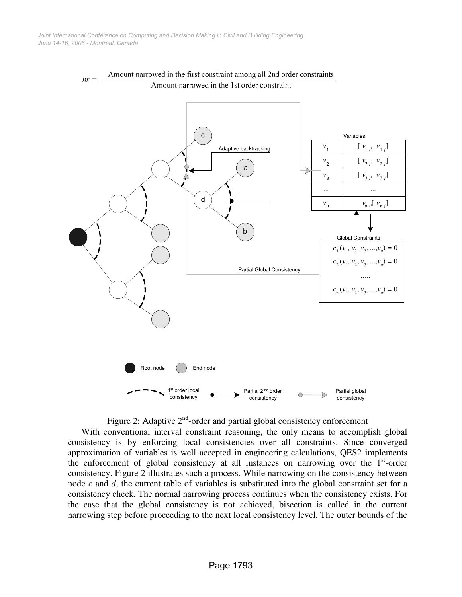

# Amount narrowed in the first constraint among all 2nd order constraints

Figure 2: Adaptive  $2<sup>nd</sup>$ -order and partial global consistency enforcement

With conventional interval constraint reasoning, the only means to accomplish global consistency is by enforcing local consistencies over all constraints. Since converged approximation of variables is well accepted in engineering calculations, QES2 implements the enforcement of global consistency at all instances on narrowing over the 1<sup>st</sup>-order consistency. Figure 2 illustrates such a process. While narrowing on the consistency between node *c* and *d*, the current table of variables is substituted into the global constraint set for a consistency check. The normal narrowing process continues when the consistency exists. For the case that the global consistency is not achieved, bisection is called in the current narrowing step before proceeding to the next local consistency level. The outer bounds of the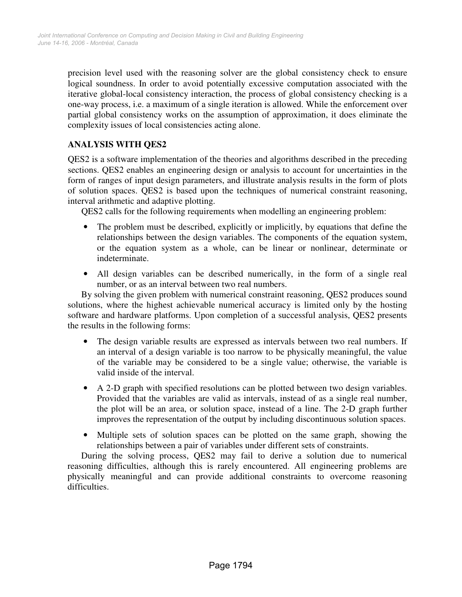precision level used with the reasoning solver are the global consistency check to ensure logical soundness. In order to avoid potentially excessive computation associated with the iterative global-local consistency interaction, the process of global consistency checking is a one-way process, i.e. a maximum of a single iteration is allowed. While the enforcement over partial global consistency works on the assumption of approximation, it does eliminate the complexity issues of local consistencies acting alone.

# **ANALYSIS WITH QES2**

QES2 is a software implementation of the theories and algorithms described in the preceding sections. QES2 enables an engineering design or analysis to account for uncertainties in the form of ranges of input design parameters, and illustrate analysis results in the form of plots of solution spaces. QES2 is based upon the techniques of numerical constraint reasoning, interval arithmetic and adaptive plotting.

QES2 calls for the following requirements when modelling an engineering problem:

- The problem must be described, explicitly or implicitly, by equations that define the relationships between the design variables. The components of the equation system, or the equation system as a whole, can be linear or nonlinear, determinate or indeterminate.
- All design variables can be described numerically, in the form of a single real number, or as an interval between two real numbers.

By solving the given problem with numerical constraint reasoning, QES2 produces sound solutions, where the highest achievable numerical accuracy is limited only by the hosting software and hardware platforms. Upon completion of a successful analysis, QES2 presents the results in the following forms:

- The design variable results are expressed as intervals between two real numbers. If an interval of a design variable is too narrow to be physically meaningful, the value of the variable may be considered to be a single value; otherwise, the variable is valid inside of the interval.
- A 2-D graph with specified resolutions can be plotted between two design variables. Provided that the variables are valid as intervals, instead of as a single real number, the plot will be an area, or solution space, instead of a line. The 2-D graph further improves the representation of the output by including discontinuous solution spaces.
- Multiple sets of solution spaces can be plotted on the same graph, showing the relationships between a pair of variables under different sets of constraints.

During the solving process, QES2 may fail to derive a solution due to numerical reasoning difficulties, although this is rarely encountered. All engineering problems are physically meaningful and can provide additional constraints to overcome reasoning difficulties.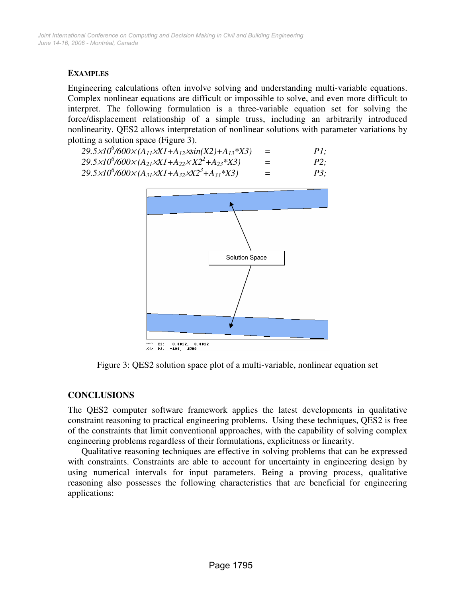### **EXAMPLES**

Engineering calculations often involve solving and understanding multi-variable equations. Complex nonlinear equations are difficult or impossible to solve, and even more difficult to interpret. The following formulation is a three-variable equation set for solving the force/displacement relationship of a simple truss, including an arbitrarily introduced nonlinearity. QES2 allows interpretation of nonlinear solutions with parameter variations by plotting a solution space (Figure 3).

| $29.5 \times 10^{6}$ /600 $\times$ (A <sub>11</sub> $\times$ X1+A <sub>12</sub> $\times$ sin(X2)+A <sub>13</sub> *X3) |  | PI; |
|-----------------------------------------------------------------------------------------------------------------------|--|-----|
|-----------------------------------------------------------------------------------------------------------------------|--|-----|

| $29.5 \times 10^{6}$ /600 $\times$ (A <sub>21</sub> $\times$ X1+A <sub>22</sub> $\times$ X2 <sup>2</sup> +A <sub>23</sub> *X3) | $P2$ ; |
|--------------------------------------------------------------------------------------------------------------------------------|--------|
|                                                                                                                                |        |

$$
29.5 \times 10^6 / 600 \times (A_{31} \times XI + A_{32} \times X2^3 + A_{33} * X3) = P3;
$$



Figure 3: QES2 solution space plot of a multi-variable, nonlinear equation set

# **CONCLUSIONS**

The QES2 computer software framework applies the latest developments in qualitative constraint reasoning to practical engineering problems. Using these techniques, QES2 is free of the constraints that limit conventional approaches, with the capability of solving complex engineering problems regardless of their formulations, explicitness or linearity.

Qualitative reasoning techniques are effective in solving problems that can be expressed with constraints. Constraints are able to account for uncertainty in engineering design by using numerical intervals for input parameters. Being a proving process, qualitative reasoning also possesses the following characteristics that are beneficial for engineering applications: